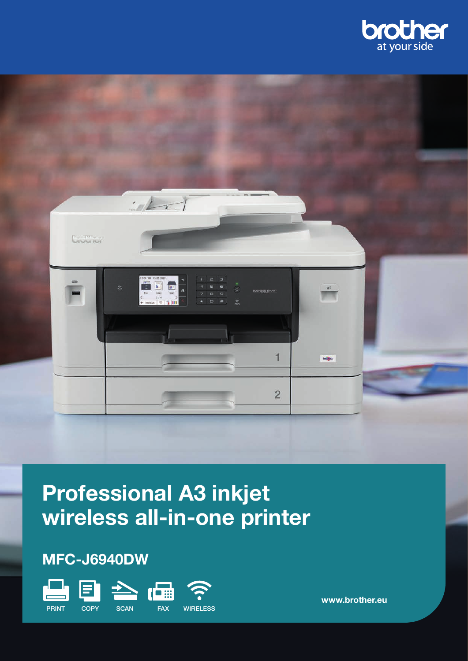



# Professional A3 inkjet wireless all-in-one printer

# MFC-J6940DW



www.brother.eu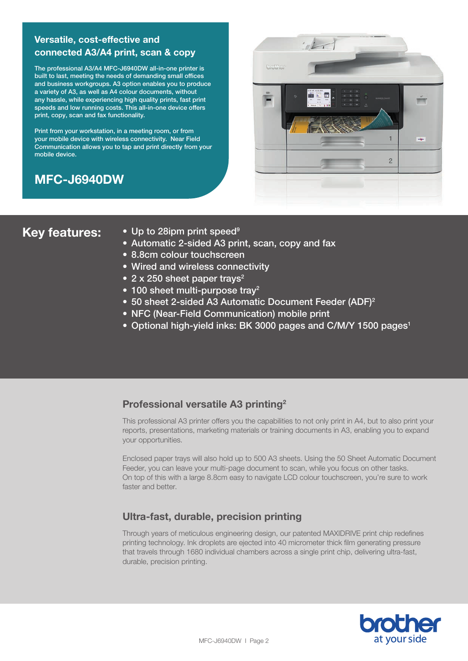# Versatile, cost-effective and connected A3/A4 print, scan & copy

The professional A3/A4 MFC-J6940DW all-in-one printer is built to last, meeting the needs of demanding small offices and business workgroups. A3 option enables you to produce a variety of A3, as well as A4 colour documents, without any hassle, while experiencing high quality prints, fast print speeds and low running costs. This all-in-one device offers print, copy, scan and fax functionality.

Print from your workstation, in a meeting room, or from your mobile device with wireless connectivity. Near Field Communication allows you to tap and print directly from your mobile device.

# MFC-J6940DW



- Key features: Up to 28ipm print speed<sup>9</sup>
	- Automatic 2-sided A3 print, scan, copy and fax
	- 8.8cm colour touchscreen
	- Wired and wireless connectivity
	- 2 x 250 sheet paper trays<sup>2</sup>
	- 100 sheet multi-purpose tray<sup>2</sup>
	- 50 sheet 2-sided A3 Automatic Document Feeder (ADF)<sup>2</sup>
	- NFC (Near-Field Communication) mobile print
	- Optional high-yield inks: BK 3000 pages and C/M/Y 1500 pages<sup>1</sup>

# Professional versatile A3 printing2

This professional A3 printer offers you the capabilities to not only print in A4, but to also print your reports, presentations, marketing materials or training documents in A3, enabling you to expand your opportunities.

Enclosed paper trays will also hold up to 500 A3 sheets. Using the 50 Sheet Automatic Document Feeder, you can leave your multi-page document to scan, while you focus on other tasks. On top of this with a large 8.8cm easy to navigate LCD colour touchscreen, you're sure to work faster and better.

# Ultra-fast, durable, precision printing

Through years of meticulous engineering design, our patented MAXIDRIVE print chip redefines printing technology. Ink droplets are ejected into 40 micrometer thick film generating pressure that travels through 1680 individual chambers across a single print chip, delivering ultra-fast, durable, precision printing.

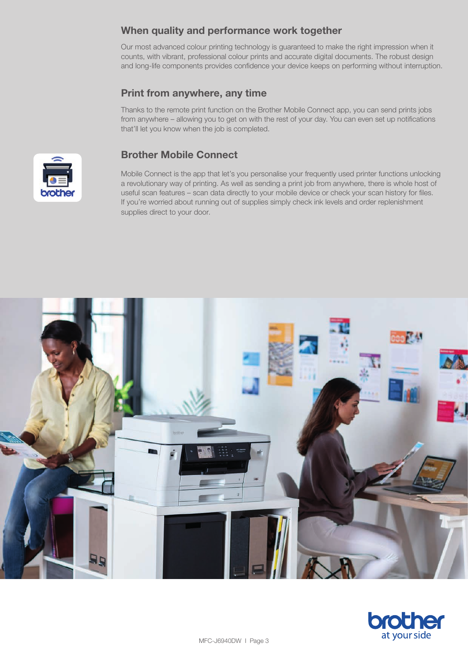# When quality and performance work together

Our most advanced colour printing technology is guaranteed to make the right impression when it counts, with vibrant, professional colour prints and accurate digital documents. The robust design and long-life components provides confidence your device keeps on performing without interruption.

# Print from anywhere, any time

Thanks to the remote print function on the Brother Mobile Connect app, you can send prints jobs from anywhere – allowing you to get on with the rest of your day. You can even set up notifications that'll let you know when the job is completed.



# Brother Mobile Connect

Mobile Connect is the app that let's you personalise your frequently used printer functions unlocking a revolutionary way of printing. As well as sending a print job from anywhere, there is whole host of useful scan features – scan data directly to your mobile device or check your scan history for files. If you're worried about running out of supplies simply check ink levels and order replenishment supplies direct to your door.



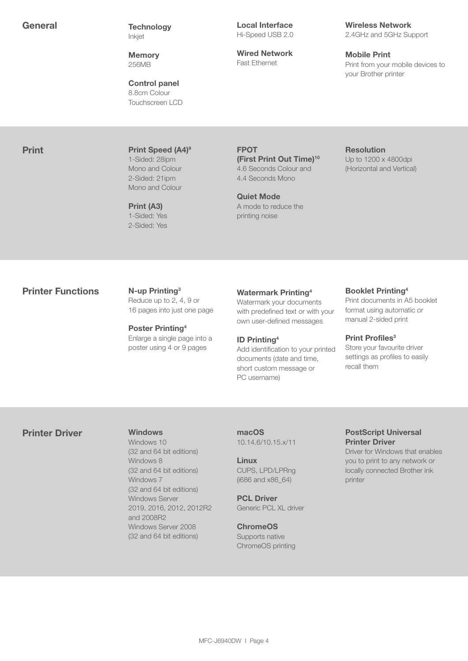General Technology Inkjet

> **Memory** 256MB

Control panel 8.8cm Colour Touchscreen LCD Local Interface Hi-Speed USB 2.0

Wired Network Fast Ethernet

Wireless Network 2.4GHz and 5GHz Support

Mobile Print Print from your mobile devices to your Brother printer

**Print Print Speed (A4)<sup>9</sup>** 1-Sided: 28ipm Mono and Colour 2-Sided: 21ipm Mono and Colour

> Print (A3) 1-Sided: Yes 2-Sided: Yes

FPOT (First Print Out Time)<sup>10</sup> 4.6 Seconds Colour and 4.4 Seconds Mono

Quiet Mode A mode to reduce the printing noise

Resolution Up to 1200 x 4800dpi (Horizontal and Vertical)

### **Printer Functions** N-up Printing<sup>3</sup>

Reduce up to 2, 4, 9 or 16 pages into just one page

Poster Printing4 Enlarge a single page into a poster using 4 or 9 pages

#### Watermark Printing4

Watermark your documents with predefined text or with your own user-defined messages

#### ID Printing4

Add identification to your printed documents (date and time, short custom message or PC username)

Booklet Printing4 Print documents in A5 booklet format using automatic or manual 2-sided print

#### Print Profiles<sup>3</sup>

Store your favourite driver settings as profiles to easily recall them

#### Printer Driver Windows

Windows 10 (32 and 64 bit editions) Windows 8 (32 and 64 bit editions) Windows 7 (32 and 64 bit editions) Windows Server 2019, 2016, 2012, 2012R2 and 2008R2 Windows Server 2008 (32 and 64 bit editions)

macOS 10.14.6/10.15.x/11

Linux CUPS, LPD/LPRng (i686 and x86\_64)

PCL Driver Generic PCL XL driver

**ChromeOS** Supports native ChromeOS printing

#### PostScript Universal Printer Driver

Driver for Windows that enables you to print to any network or locally connected Brother ink printer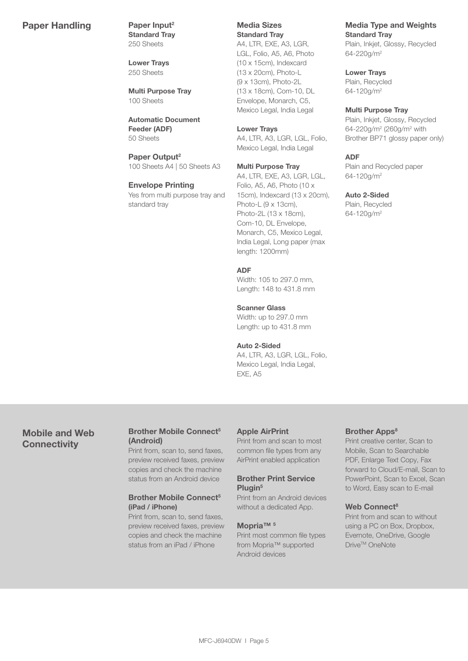### Paper Handling Paper Input<sup>2</sup>

Standard Tray 250 Sheets

Lower Trays 250 Sheets

Multi Purpose Tray 100 Sheets

Automatic Document Feeder (ADF) 50 Sheets

Paper Output<sup>2</sup> 100 Sheets A4 | 50 Sheets A3

#### Envelope Printing

Yes from multi purpose tray and standard tray

Media Sizes Standard Tray

A4, LTR, EXE, A3, LGR, LGL, Folio, A5, A6, Photo (10 x 15cm), Indexcard (13 x 20cm), Photo-L (9 x 13cm), Photo-2L (13 x 18cm), Com-10, DL Envelope, Monarch, C5, Mexico Legal, India Legal

#### Lower Trays

A4, LTR, A3, LGR, LGL, Folio, Mexico Legal, India Legal

#### Multi Purpose Tray

A4, LTR, EXE, A3, LGR, LGL, Folio, A5, A6, Photo (10 x 15cm), Indexcard (13 x 20cm), Photo-L (9 x 13cm), Photo-2L (13 x 18cm), Com-10, DL Envelope, Monarch, C5, Mexico Legal, India Legal, Long paper (max length: 1200mm)

#### ADF

Width: 105 to 297.0 mm, Length: 148 to 431.8 mm

#### Scanner Glass

Width: up to 297.0 mm Length: up to 431.8 mm

#### Auto 2-Sided

A4, LTR, A3, LGR, LGL, Folio, Mexico Legal, India Legal, EXE, A5

#### Media Type and Weights Standard Tray

Plain, Inkjet, Glossy, Recycled 64-220g/m2

#### Lower Trays

Plain, Recycled 64-120g/m2

#### Multi Purpose Tray

Plain, Inkjet, Glossy, Recycled 64-220g/m<sup>2</sup> (260g/m<sup>2</sup> with Brother BP71 glossy paper only)

#### ADF

Plain and Recycled paper 64-120g/m2

#### Auto 2-Sided

Plain, Recycled 64-120g/m2

# Mobile and Web **Connectivity**

#### Brother Mobile Connect<sup>5</sup> (Android)

Print from, scan to, send faxes, preview received faxes, preview copies and check the machine status from an Android device

#### Brother Mobile Connect<sup>5</sup> (iPad / iPhone)

Print from, scan to, send faxes, preview received faxes, preview copies and check the machine status from an iPad / iPhone

#### Apple AirPrint

Print from and scan to most common file types from any AirPrint enabled application

#### Brother Print Service Plugin<sup>5</sup>

Print from an Android devices without a dedicated App.

#### Mopria™ 5

Print most common file types from Mopria™ supported Android devices

#### Brother Apps<sup>8</sup>

Print creative center, Scan to Mobile, Scan to Searchable PDF, Enlarge Text Copy, Fax forward to Cloud/E-mail, Scan to PowerPoint, Scan to Excel, Scan to Word, Easy scan to E-mail

#### Web Connect<sup>8</sup>

Print from and scan to without using a PC on Box, Dropbox, Evernote, OneDrive, Google Drive<sup>™</sup> OneNote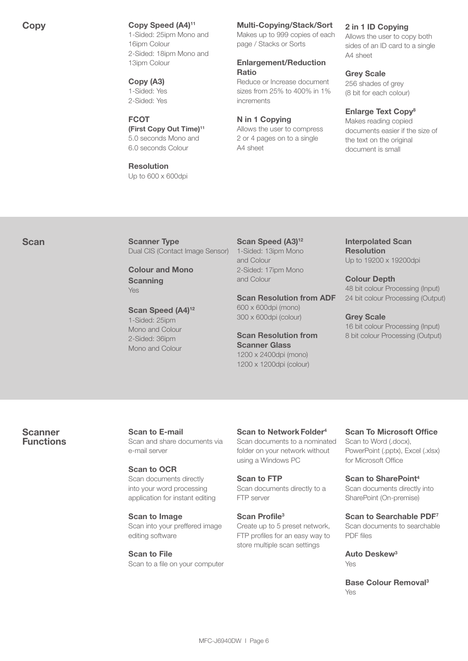### Copy Copy Speed (A4)<sup>11</sup>

1-Sided: 25ipm Mono and 16ipm Colour 2-Sided: 18ipm Mono and 13ipm Colour

#### Copy (A3) 1-Sided: Yes 2-Sided: Yes

#### **FCOT**

(First Copy Out Time)11 5.0 seconds Mono and 6.0 seconds Colour

# Resolution

Up to 600 x 600dpi

### Multi-Copying/Stack/Sort

Makes up to 999 copies of each page / Stacks or Sorts

#### Enlargement/Reduction Ratio

Reduce or Increase document sizes from 25% to 400% in 1% increments

#### N in 1 Copying

Allows the user to compress 2 or 4 pages on to a single A4 sheet

#### 2 in 1 ID Copying

Allows the user to copy both sides of an ID card to a single A4 sheet

#### Grey Scale

256 shades of grey (8 bit for each colour)

#### Enlarge Text Copy<sup>8</sup>

Makes reading copied documents easier if the size of the text on the original document is small

Scan Scanner Type Dual CIS (Contact Image Sensor)

> Colour and Mono **Scanning** Yes

Scan Speed (A4)<sup>12</sup> 1-Sided: 25ipm Mono and Colour 2-Sided: 36ipm Mono and Colour

Scan Speed (A3)<sup>12</sup> 1-Sided: 13ipm Mono and Colour 2-Sided: 17ipm Mono and Colour

Scan Resolution from ADF 600 x 600dpi (mono) 300 x 600dpi (colour)

Scan Resolution from Scanner Glass 1200 x 2400dpi (mono) 1200 x 1200dpi (colour)

#### Interpolated Scan Resolution Up to 19200 x 19200dpi

Colour Depth 48 bit colour Processing (Input) 24 bit colour Processing (Output)

# Grey Scale

16 bit colour Processing (Input) 8 bit colour Processing (Output)

Scanner **Functions**  Scan to E-mail Scan and share documents via e-mail server

#### Scan to OCR Scan documents directly into your word processing application for instant editing

Scan to Image Scan into your preffered image editing software

Scan to File Scan to a file on your computer Scan to Network Folder4 Scan documents to a nominated folder on your network without using a Windows PC

Scan to FTP Scan documents directly to a FTP server

Scan Profile3 Create up to 5 preset network, FTP profiles for an easy way to store multiple scan settings

# Scan To Microsoft Office

Scan to Word (.docx), PowerPoint (.pptx), Excel (.xlsx) for Microsoft Office

Scan to SharePoint4 Scan documents directly into SharePoint (On-premise)

Scan to Searchable PDF7 Scan documents to searchable PDF files

Auto Deskew3 Yes

Base Colour Removal3 Yes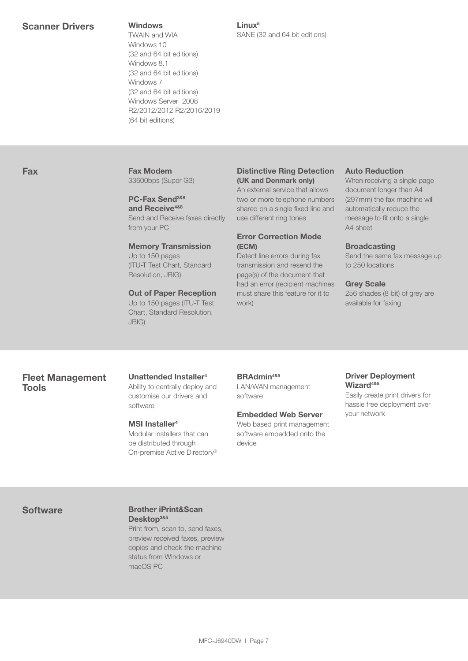TWAIN and WIA Windows 10 (32 and 64 bit editions) Windows 8.1 (32 and 64 bit editions) Windows 7 (32 and 64 bit editions) Windows Server 2008 R2/2012/2012 R2/2016/2019 (64 bit editions)

Linux5 SANE (32 and 64 bit editions)

# Fax Fax Modem

33600bps (Super G3)

# PC-Fax Send<sup>3&8</sup> and Receive<sup>4&8</sup>

Send and Receive faxes directly from your PC

#### Memory Transmission

Up to 150 pages (ITU-T Test Chart, Standard Resolution, JBIG)

#### Out of Paper Reception

Up to 150 pages (ITU-T Test Chart, Standard Resolution, JBIG)

#### Distinctive Ring Detection (UK and Denmark only)

An external service that allows two or more telephone numbers shared on a single fixed line and use different ring tones

#### Error Correction Mode (ECM)

Detect line errors during fax transmission and resend the page(s) of the document that had an error (recipient machines must share this feature for it to work)

#### Auto Reduction

When receiving a single page document longer than A4 (297mm) the fax machine will automatically reduce the message to fit onto a single A4 sheet

#### **Broadcasting**

Send the same fax message up to 250 locations

#### Grey Scale

256 shades (8 bit) of grey are available for faxing

### Fleet Management Tools

Unattended Installer4 Ability to centrally deploy and customise our drivers and software

#### MSI Installer<sup>4</sup>

Modular installers that can be distributed through On-premise Active Directory®

BRAdmin<sup>4&5</sup> LAN/WAN management software

#### Embedded Web Server

Web based print management software embedded onto the device

#### Driver Deployment Wizard<sup>4&5</sup>

Easily create print drivers for hassle free deployment over your network

#### Software **Brother iPrint&Scan** Desktop<sup>3&5</sup>

Print from, scan to, send faxes, preview received faxes, preview copies and check the machine status from Windows or macOS PC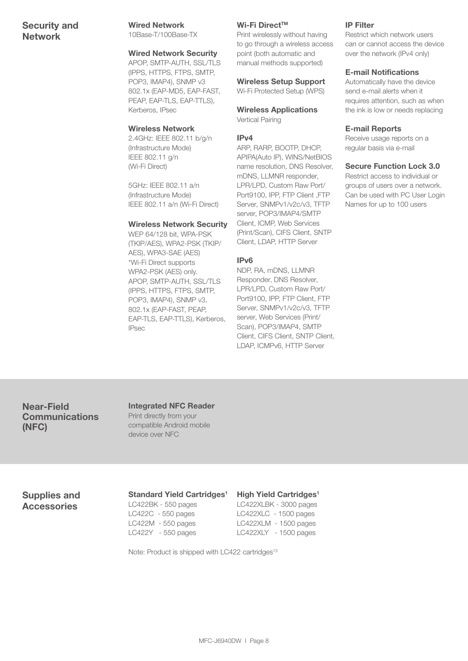# Security and Network

#### Wired Network

10Base-T/100Base-TX

#### Wired Network Security

APOP, SMTP-AUTH, SSL/TLS (IPPS, HTTPS, FTPS, SMTP, POP3, IMAP4), SNMP v3 802.1x (EAP-MD5, EAP-FAST, PEAP, EAP-TLS, EAP-TTLS), Kerberos, IPsec

#### Wireless Network

2.4GHz: IEEE 802.11 b/g/n (Infrastructure Mode) IEEE 802.11 g/n (Wi-Fi Direct)

5GHz: IEEE 802.11 a/n (Infrastructure Mode) IEEE 802.11 a/n (Wi-Fi Direct)

#### Wireless Network Security

WEP 64/128 bit, WPA-PSK (TKIP/AES), WPA2-PSK (TKIP/ AES), WPA3-SAE (AES) \*Wi-Fi Direct supports WPA2-PSK (AES) only. APOP, SMTP-AUTH, SSL/TLS (IPPS, HTTPS, FTPS, SMTP, POP3, IMAP4), SNMP v3, 802.1x (EAP-FAST, PEAP, EAP-TLS, EAP-TTLS), Kerberos, IPsec

#### Wi-Fi Direct™

Print wirelessly without having to go through a wireless access point (both automatic and manual methods supported)

#### Wireless Setup Support

Wi-Fi Protected Setup (WPS)

#### Wireless Applications Vertical Pairing

#### IPv4

ARP, RARP, BOOTP, DHCP, APIPA(Auto IP), WINS/NetBIOS name resolution, DNS Resolver, mDNS, LLMNR responder, LPR/LPD, Custom Raw Port/ Port9100, IPP, FTP Client ,FTP Server, SNMPv1/v2c/v3, TFTP server, POP3/IMAP4/SMTP Client, ICMP, Web Services (Print/Scan), CIFS Client, SNTP Client, LDAP, HTTP Server

#### IPv6

NDP, RA, mDNS, LLMNR Responder, DNS Resolver, LPR/LPD, Custom Raw Port/ Port9100, IPP, FTP Client, FTP Server, SNMPv1/v2c/v3, TFTP server, Web Services (Print/ Scan), POP3/IMAP4, SMTP Client, CIFS Client, SNTP Client, LDAP, ICMPv6, HTTP Server

#### IP Filter

Restrict which network users can or cannot access the device over the network (IPv4 only)

#### E-mail Notifications

Automatically have the device send e-mail alerts when it requires attention, such as when the ink is low or needs replacing

#### E-mail Reports

Receive usage reports on a regular basis via e-mail

#### Secure Function Lock 3.0

Restrict access to individual or groups of users over a network. Can be used with PC User Login Names for up to 100 users

### Near-Field **Communications** (NFC)

#### Integrated NFC Reader Print directly from your compatible Android mobile device over NFC

# Supplies and Accessories

### Standard Yield Cartridges<sup>1</sup>

LC422BK - 550 pages LC422C - 550 pages LC422M - 550 pages LC422Y - 550 pages

#### High Yield Cartridges<sup>1</sup>

LC422XLBK - 3000 pages LC422XLC - 1500 pages LC422XLM - 1500 pages LC422XLY - 1500 pages

Note: Product is shipped with LC422 cartridges<sup>13</sup>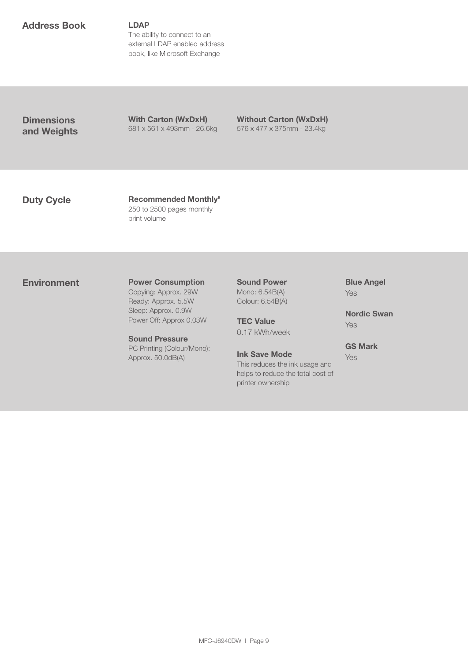### Address Book LDAP

The ability to connect to an external LDAP enabled address book, like Microsoft Exchange

**Dimensions** and Weights With Carton (WxDxH) 681 x 561 x 493mm - 26.6kg

Without Carton (WxDxH) 576 x 477 x 375mm - 23.4kg

Duty Cycle Recommended Monthly<sup>6</sup> 250 to 2500 pages monthly print volume

#### **Environment** Power Consumption

Copying: Approx. 29W Ready: Approx. 5.5W Sleep: Approx. 0.9W Power Off: Approx 0.03W

Sound Pressure PC Printing (Colour/Mono): Approx. 50.0dB(A)

Sound Power Mono: 6.54B(A) Colour: 6.54B(A)

**TEC Value** 0.17 kWh/week

Ink Save Mode This reduces the ink usage and helps to reduce the total cost of printer ownership

Blue Angel Yes

Nordic Swan Yes

GS Mark Yes